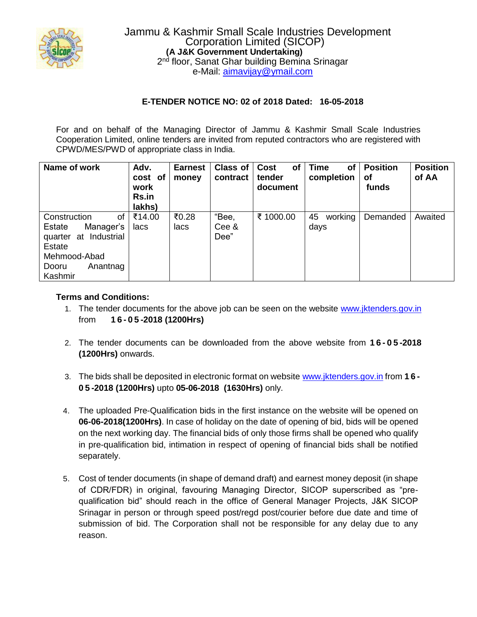

## **E-TENDER NOTICE NO: 02 of 2018 Dated: 16-05-2018**

For and on behalf of the Managing Director of Jammu & Kashmir Small Scale Industries Cooperation Limited, online tenders are invited from reputed contractors who are registered with CPWD/MES/PWD of appropriate class in India.

| Name of work                                                                                                                 | Adv.<br>cost of<br>work<br>Rs.in<br>lakhs) | <b>Earnest</b><br>money | Class of<br>contract   | <b>Cost</b><br>of<br>tender<br>document | <b>Time</b><br><b>of</b><br>completion | <b>Position</b><br><b>of</b><br>funds | <b>Position</b><br>of AA |
|------------------------------------------------------------------------------------------------------------------------------|--------------------------------------------|-------------------------|------------------------|-----------------------------------------|----------------------------------------|---------------------------------------|--------------------------|
| Construction<br>οf<br>Estate<br>Manager's<br>quarter at Industrial<br>Estate<br>Mehmood-Abad<br>Anantnag<br>Dooru<br>Kashmir | ₹14.00<br>lacs                             | ₹0.28<br>lacs           | "Bee,<br>Cee &<br>Dee" | ₹ 1000.00                               | working<br>45<br>days                  | Demanded                              | Awaited                  |

## **Terms and Conditions:**

- 1. The tender documents for the above job can be seen on the website www.jktenders.gov.in from **1 6 - 0 5 -2018 (1200Hrs)**
- 2. The tender documents can be downloaded from the above website from **1 6 - 0 5 -2018 (1200Hrs)** onwards.
- 3. The bids shall be deposited in electronic format on website www.jktenders.gov.in from **1 6 - 0 5 -2018 (1200Hrs)** upto **05-06-2018 (1630Hrs)** only.
- 4. The uploaded Pre-Qualification bids in the first instance on the website will be opened on **06-06-2018(1200Hrs)**. In case of holiday on the date of opening of bid, bids will be opened on the next working day. The financial bids of only those firms shall be opened who qualify in pre-qualification bid, intimation in respect of opening of financial bids shall be notified separately.
- 5. Cost of tender documents (in shape of demand draft) and earnest money deposit (in shape of CDR/FDR) in original, favouring Managing Director, SICOP superscribed as "prequalification bid" should reach in the office of General Manager Projects, J&K SICOP Srinagar in person or through speed post/regd post/courier before due date and time of submission of bid. The Corporation shall not be responsible for any delay due to any reason.